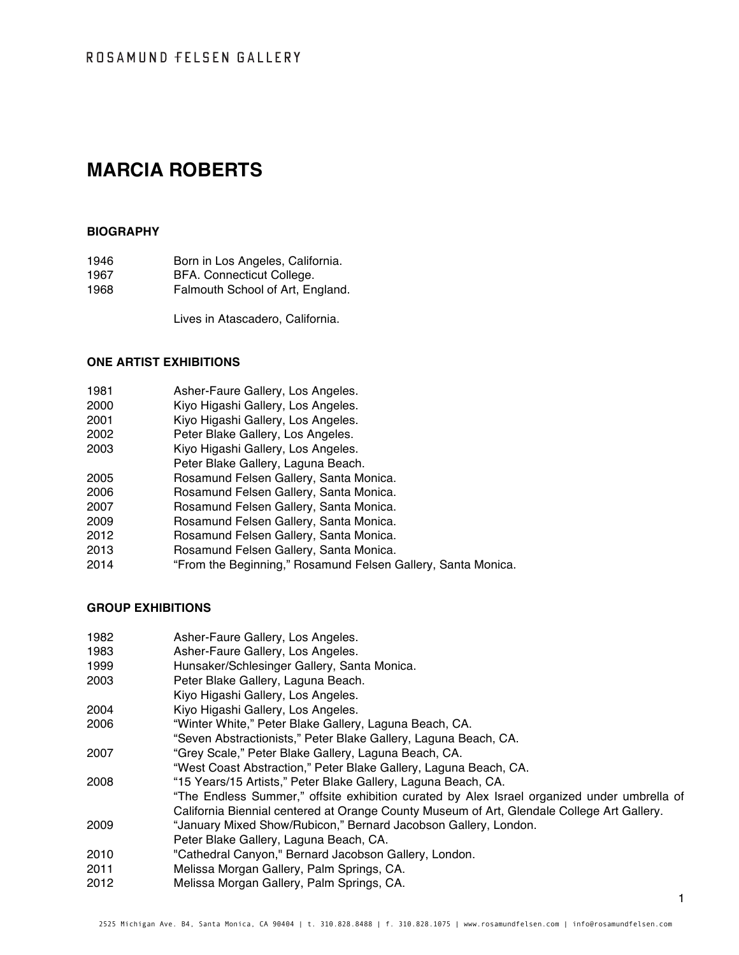# **MARCIA ROBERTS**

#### **BIOGRAPHY**

| 1946 | Born in Los Angeles, California. |
|------|----------------------------------|
| 1967 | BFA. Connecticut College.        |
| 1968 | Falmouth School of Art, England. |

Lives in Atascadero, California.

#### **ONE ARTIST EXHIBITIONS**

- **Asher-Faure Gallery, Los Angeles.**
- Kiyo Higashi Gallery, Los Angeles.
- Kiyo Higashi Gallery, Los Angeles.
- Peter Blake Gallery, Los Angeles.
- Kiyo Higashi Gallery, Los Angeles.
- Peter Blake Gallery, Laguna Beach.
- Rosamund Felsen Gallery, Santa Monica.
- Rosamund Felsen Gallery, Santa Monica.
- Rosamund Felsen Gallery, Santa Monica.
- Rosamund Felsen Gallery, Santa Monica.
- Rosamund Felsen Gallery, Santa Monica.
- Rosamund Felsen Gallery, Santa Monica.
- "From the Beginning," Rosamund Felsen Gallery, Santa Monica.

#### **GROUP EXHIBITIONS**

- Asher-Faure Gallery, Los Angeles.
- Asher-Faure Gallery, Los Angeles.
- Hunsaker/Schlesinger Gallery, Santa Monica.
- Peter Blake Gallery, Laguna Beach.
- Kiyo Higashi Gallery, Los Angeles.
- Kiyo Higashi Gallery, Los Angeles.
- "Winter White," Peter Blake Gallery, Laguna Beach, CA.
- "Seven Abstractionists," Peter Blake Gallery, Laguna Beach, CA.
- "Grey Scale," Peter Blake Gallery, Laguna Beach, CA.
	- "West Coast Abstraction," Peter Blake Gallery, Laguna Beach, CA.
- "15 Years/15 Artists," Peter Blake Gallery, Laguna Beach, CA. "The Endless Summer," offsite exhibition curated by Alex Israel organized under umbrella of
- California Biennial centered at Orange County Museum of Art, Glendale College Art Gallery. "January Mixed Show/Rubicon," Bernard Jacobson Gallery, London.
- Peter Blake Gallery, Laguna Beach, CA.
- "Cathedral Canyon," Bernard Jacobson Gallery, London.
- Melissa Morgan Gallery, Palm Springs, CA.
- Melissa Morgan Gallery, Palm Springs, CA.